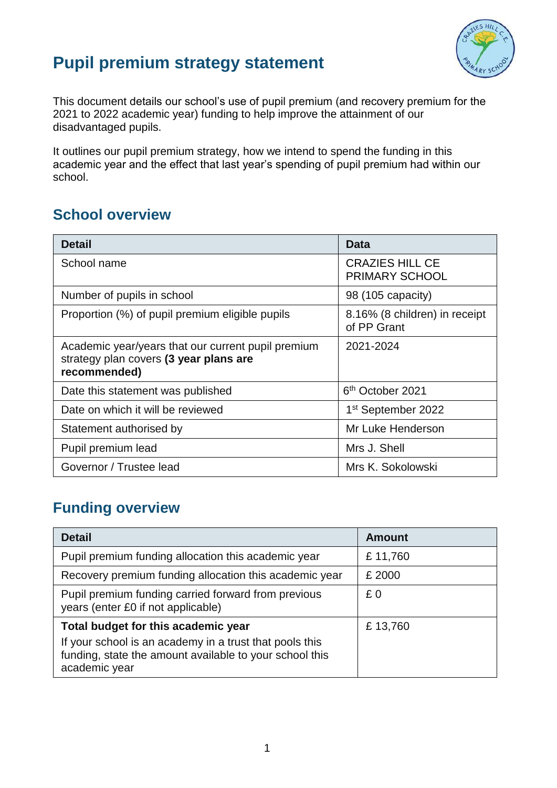

## **Pupil premium strategy statement**

This document details our school's use of pupil premium (and recovery premium for the 2021 to 2022 academic year) funding to help improve the attainment of our disadvantaged pupils.

It outlines our pupil premium strategy, how we intend to spend the funding in this academic year and the effect that last year's spending of pupil premium had within our school.

### **School overview**

| <b>Detail</b>                                                                                                | Data                                            |
|--------------------------------------------------------------------------------------------------------------|-------------------------------------------------|
| School name                                                                                                  | <b>CRAZIES HILL CE</b><br><b>PRIMARY SCHOOL</b> |
| Number of pupils in school                                                                                   | 98 (105 capacity)                               |
| Proportion (%) of pupil premium eligible pupils                                                              | 8.16% (8 children) in receipt<br>of PP Grant    |
| Academic year/years that our current pupil premium<br>strategy plan covers (3 year plans are<br>recommended) | 2021-2024                                       |
| Date this statement was published                                                                            | 6 <sup>th</sup> October 2021                    |
| Date on which it will be reviewed                                                                            | 1 <sup>st</sup> September 2022                  |
| Statement authorised by                                                                                      | Mr Luke Henderson                               |
| Pupil premium lead                                                                                           | Mrs J. Shell                                    |
| Governor / Trustee lead                                                                                      | Mrs K. Sokolowski                               |

## **Funding overview**

| <b>Detail</b>                                                                                                                       | <b>Amount</b> |
|-------------------------------------------------------------------------------------------------------------------------------------|---------------|
| Pupil premium funding allocation this academic year                                                                                 | £11,760       |
| Recovery premium funding allocation this academic year                                                                              | £ 2000        |
| Pupil premium funding carried forward from previous<br>years (enter £0 if not applicable)                                           | £0            |
| Total budget for this academic year                                                                                                 | £13,760       |
| If your school is an academy in a trust that pools this<br>funding, state the amount available to your school this<br>academic year |               |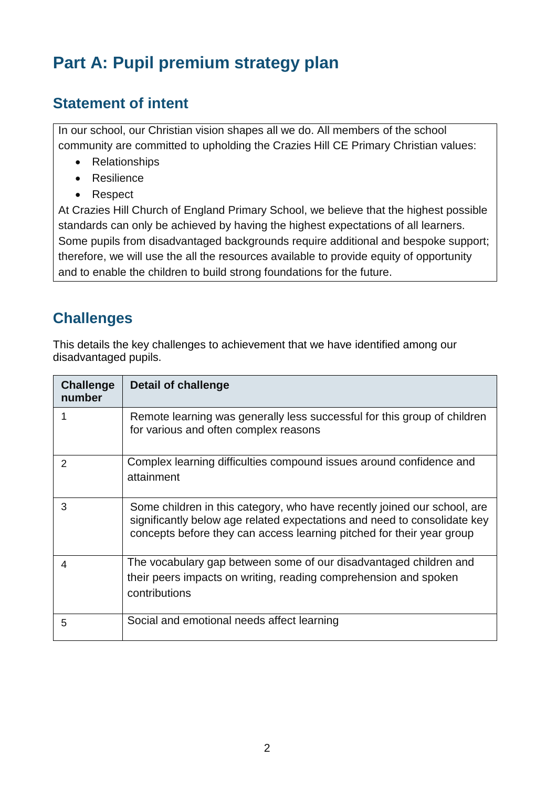# **Part A: Pupil premium strategy plan**

#### **Statement of intent**

In our school, our Christian vision shapes all we do. All members of the school community are committed to upholding the Crazies Hill CE Primary Christian values:

- Relationships
- Resilience
- Respect

At Crazies Hill Church of England Primary School, we believe that the highest possible standards can only be achieved by having the highest expectations of all learners. Some pupils from disadvantaged backgrounds require additional and bespoke support; therefore, we will use the all the resources available to provide equity of opportunity and to enable the children to build strong foundations for the future.

#### **Challenges**

This details the key challenges to achievement that we have identified among our disadvantaged pupils.

| <b>Challenge</b><br>number | Detail of challenge                                                                                                                                                                                                           |
|----------------------------|-------------------------------------------------------------------------------------------------------------------------------------------------------------------------------------------------------------------------------|
|                            | Remote learning was generally less successful for this group of children<br>for various and often complex reasons                                                                                                             |
| $\mathcal{P}$              | Complex learning difficulties compound issues around confidence and<br>attainment                                                                                                                                             |
| 3                          | Some children in this category, who have recently joined our school, are<br>significantly below age related expectations and need to consolidate key<br>concepts before they can access learning pitched for their year group |
| 4                          | The vocabulary gap between some of our disadvantaged children and<br>their peers impacts on writing, reading comprehension and spoken<br>contributions                                                                        |
| 5                          | Social and emotional needs affect learning                                                                                                                                                                                    |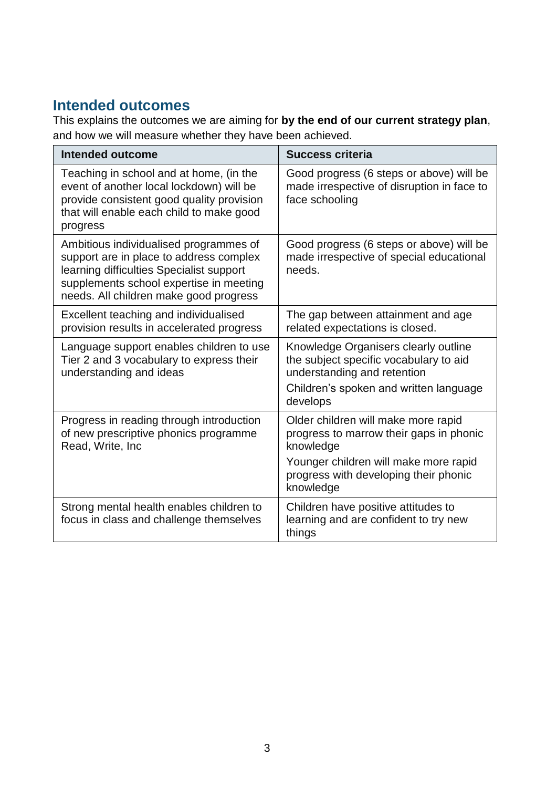### **Intended outcomes**

This explains the outcomes we are aiming for **by the end of our current strategy plan**, and how we will measure whether they have been achieved.

| <b>Intended outcome</b>                                                                                                                                                                                            | <b>Success criteria</b>                                                                                                                                             |
|--------------------------------------------------------------------------------------------------------------------------------------------------------------------------------------------------------------------|---------------------------------------------------------------------------------------------------------------------------------------------------------------------|
| Teaching in school and at home, (in the<br>event of another local lockdown) will be<br>provide consistent good quality provision<br>that will enable each child to make good<br>progress                           | Good progress (6 steps or above) will be<br>made irrespective of disruption in face to<br>face schooling                                                            |
| Ambitious individualised programmes of<br>support are in place to address complex<br>learning difficulties Specialist support<br>supplements school expertise in meeting<br>needs. All children make good progress | Good progress (6 steps or above) will be<br>made irrespective of special educational<br>needs.                                                                      |
| Excellent teaching and individualised<br>provision results in accelerated progress                                                                                                                                 | The gap between attainment and age<br>related expectations is closed.                                                                                               |
| Language support enables children to use<br>Tier 2 and 3 vocabulary to express their<br>understanding and ideas                                                                                                    | Knowledge Organisers clearly outline<br>the subject specific vocabulary to aid<br>understanding and retention<br>Children's spoken and written language<br>develops |
| Progress in reading through introduction<br>of new prescriptive phonics programme<br>Read, Write, Inc                                                                                                              | Older children will make more rapid<br>progress to marrow their gaps in phonic<br>knowledge                                                                         |
|                                                                                                                                                                                                                    | Younger children will make more rapid<br>progress with developing their phonic<br>knowledge                                                                         |
| Strong mental health enables children to<br>focus in class and challenge themselves                                                                                                                                | Children have positive attitudes to<br>learning and are confident to try new<br>things                                                                              |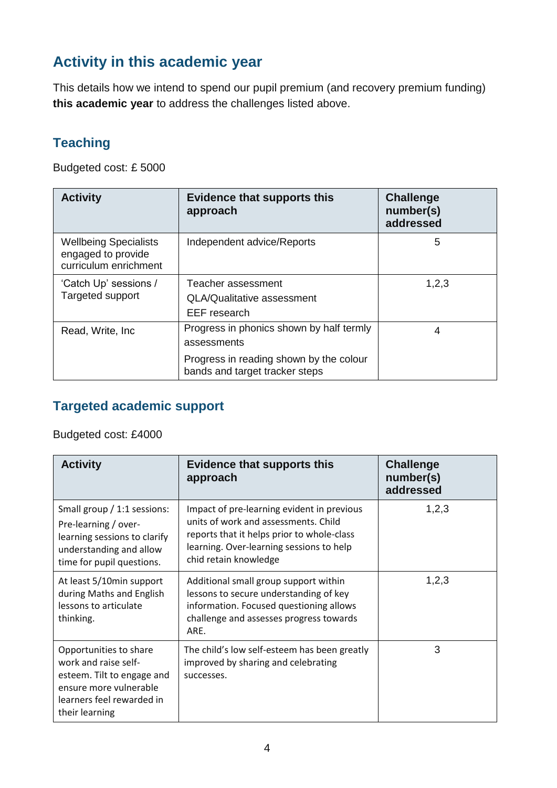### **Activity in this academic year**

This details how we intend to spend our pupil premium (and recovery premium funding) **this academic year** to address the challenges listed above.

#### **Teaching**

Budgeted cost: £ 5000

| <b>Activity</b>                                                             | <b>Evidence that supports this</b><br>approach                                                                                       | <b>Challenge</b><br>number(s)<br>addressed |
|-----------------------------------------------------------------------------|--------------------------------------------------------------------------------------------------------------------------------------|--------------------------------------------|
| <b>Wellbeing Specialists</b><br>engaged to provide<br>curriculum enrichment | Independent advice/Reports                                                                                                           | 5                                          |
| 'Catch Up' sessions /<br>Targeted support                                   | Teacher assessment<br>QLA/Qualitative assessment<br>EEF research                                                                     | 1,2,3                                      |
| Read, Write, Inc.                                                           | Progress in phonics shown by half termly<br>assessments<br>Progress in reading shown by the colour<br>bands and target tracker steps | 4                                          |

#### **Targeted academic support**

Budgeted cost: £4000

| <b>Activity</b>                                                                                                                                       | <b>Evidence that supports this</b><br>approach                                                                                                                                                        | <b>Challenge</b><br>number(s)<br>addressed |
|-------------------------------------------------------------------------------------------------------------------------------------------------------|-------------------------------------------------------------------------------------------------------------------------------------------------------------------------------------------------------|--------------------------------------------|
| Small group / 1:1 sessions:<br>Pre-learning / over-<br>learning sessions to clarify<br>understanding and allow<br>time for pupil questions.           | Impact of pre-learning evident in previous<br>units of work and assessments. Child<br>reports that it helps prior to whole-class<br>learning. Over-learning sessions to help<br>chid retain knowledge | 1,2,3                                      |
| At least 5/10min support<br>during Maths and English<br>lessons to articulate<br>thinking.                                                            | Additional small group support within<br>lessons to secure understanding of key<br>information. Focused questioning allows<br>challenge and assesses progress towards<br>ARE.                         | 1,2,3                                      |
| Opportunities to share<br>work and raise self-<br>esteem. Tilt to engage and<br>ensure more vulnerable<br>learners feel rewarded in<br>their learning | The child's low self-esteem has been greatly<br>improved by sharing and celebrating<br>successes.                                                                                                     | 3                                          |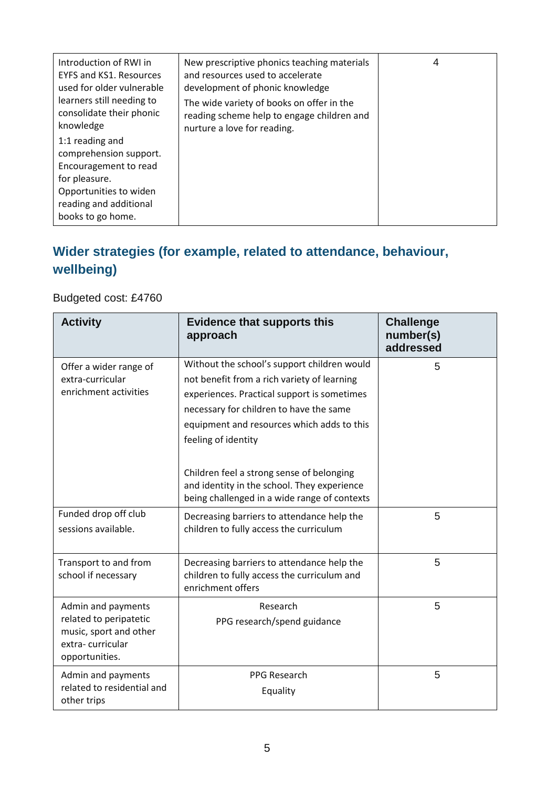| Introduction of RWI in<br><b>EYFS and KS1. Resources</b><br>used for older vulnerable<br>learners still needing to<br>consolidate their phonic<br>knowledge  | New prescriptive phonics teaching materials<br>and resources used to accelerate<br>development of phonic knowledge<br>The wide variety of books on offer in the<br>reading scheme help to engage children and<br>nurture a love for reading. | 4 |
|--------------------------------------------------------------------------------------------------------------------------------------------------------------|----------------------------------------------------------------------------------------------------------------------------------------------------------------------------------------------------------------------------------------------|---|
| 1:1 reading and<br>comprehension support.<br>Encouragement to read<br>for pleasure.<br>Opportunities to widen<br>reading and additional<br>books to go home. |                                                                                                                                                                                                                                              |   |

#### **Wider strategies (for example, related to attendance, behaviour, wellbeing)**

#### Budgeted cost: £4760

| <b>Activity</b>                                                                                              | <b>Evidence that supports this</b><br>approach                                                                                                                                                                                                            | <b>Challenge</b><br>number(s)<br>addressed |
|--------------------------------------------------------------------------------------------------------------|-----------------------------------------------------------------------------------------------------------------------------------------------------------------------------------------------------------------------------------------------------------|--------------------------------------------|
| Offer a wider range of<br>extra-curricular<br>enrichment activities                                          | Without the school's support children would<br>not benefit from a rich variety of learning<br>experiences. Practical support is sometimes<br>necessary for children to have the same<br>equipment and resources which adds to this<br>feeling of identity | 5                                          |
|                                                                                                              | Children feel a strong sense of belonging<br>and identity in the school. They experience<br>being challenged in a wide range of contexts                                                                                                                  |                                            |
| Funded drop off club<br>sessions available.                                                                  | Decreasing barriers to attendance help the<br>children to fully access the curriculum                                                                                                                                                                     | 5                                          |
| Transport to and from<br>school if necessary                                                                 | Decreasing barriers to attendance help the<br>children to fully access the curriculum and<br>enrichment offers                                                                                                                                            | 5                                          |
| Admin and payments<br>related to peripatetic<br>music, sport and other<br>extra-curricular<br>opportunities. | Research<br>PPG research/spend guidance                                                                                                                                                                                                                   | 5                                          |
| Admin and payments<br>related to residential and<br>other trips                                              | <b>PPG Research</b><br>Equality                                                                                                                                                                                                                           | 5                                          |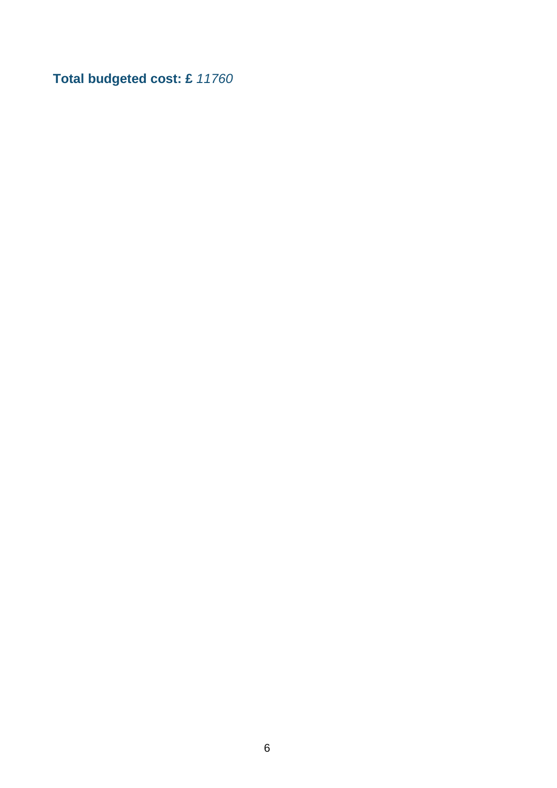**Total budgeted cost: £** *11760*